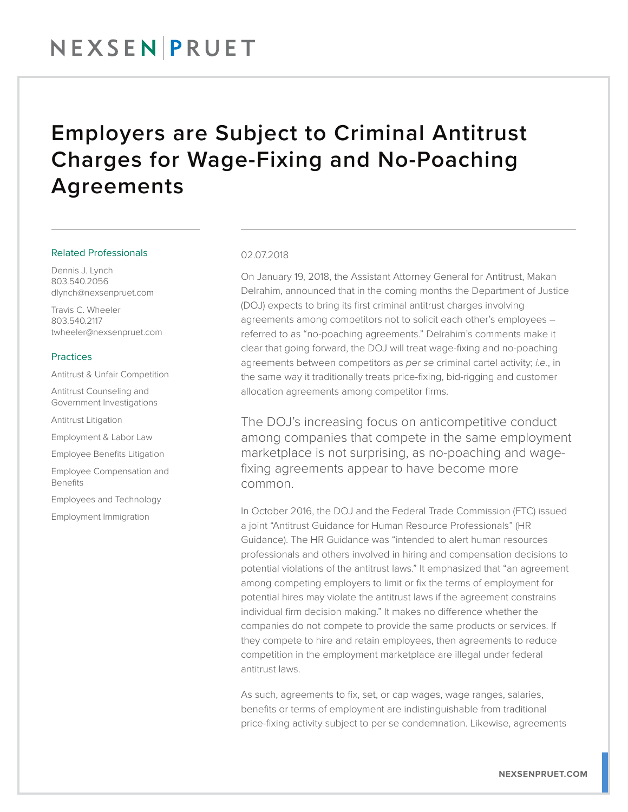### NEXSENPRUET

### Employers are Subject to Criminal Antitrust Charges for Wage-Fixing and No-Poaching Agreements

#### Related Professionals

Dennis J. Lynch 803.540.2056 dlynch@nexsenpruet.com

Travis C. Wheeler 803.540.2117 twheeler@nexsenpruet.com

#### Practices

Antitrust & Unfair Competition

Antitrust Counseling and Government Investigations

Antitrust Litigation

Employment & Labor Law

Employee Benefits Litigation

Employee Compensation and Benefits

Employees and Technology

Employment Immigration

#### 02.07.2018

On January 19, 2018, the Assistant Attorney General for Antitrust, Makan Delrahim, announced that in the coming months the Department of Justice (DOJ) expects to bring its first criminal antitrust charges involving agreements among competitors not to solicit each other's employees – referred to as "no-poaching agreements." Delrahim's comments make it clear that going forward, the DOJ will treat wage-fixing and no-poaching agreements between competitors as *per se* criminal cartel activity; *i.e.*, in the same way it traditionally treats price-fixing, bid-rigging and customer allocation agreements among competitor firms.

The DOJ's increasing focus on anticompetitive conduct among companies that compete in the same employment marketplace is not surprising, as no-poaching and wagefixing agreements appear to have become more common.

In October 2016, the DOJ and the Federal Trade Commission (FTC) issued a joint "Antitrust Guidance for Human Resource Professionals" (HR Guidance). The HR Guidance was "intended to alert human resources professionals and others involved in hiring and compensation decisions to potential violations of the antitrust laws." It emphasized that "an agreement among competing employers to limit or fix the terms of employment for potential hires may violate the antitrust laws if the agreement constrains individual firm decision making." It makes no difference whether the companies do not compete to provide the same products or services. If they compete to hire and retain employees, then agreements to reduce competition in the employment marketplace are illegal under federal antitrust laws.

As such, agreements to fix, set, or cap wages, wage ranges, salaries, benefits or terms of employment are indistinguishable from traditional price-fixing activity subject to per se condemnation. Likewise, agreements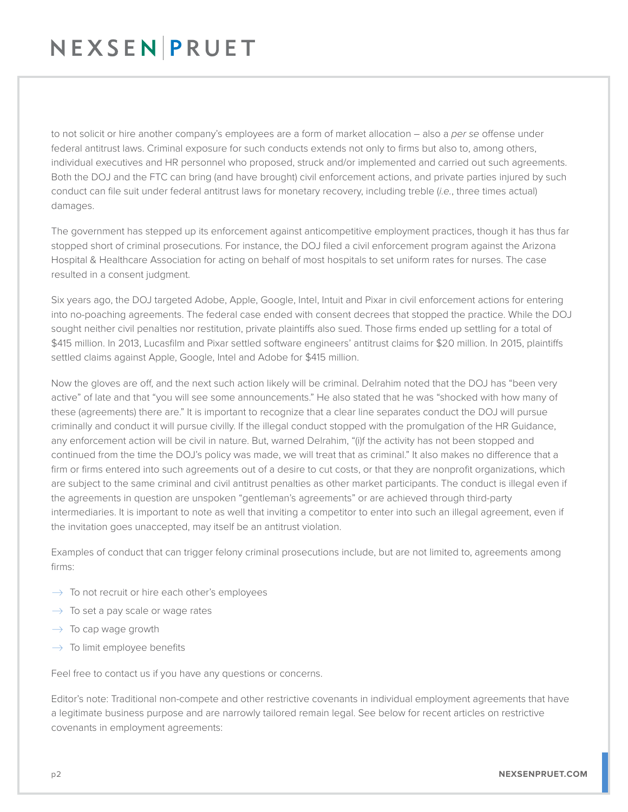## NEXSENPRUET

to not solicit or hire another company's employees are a form of market allocation – also a *per se* offense under federal antitrust laws. Criminal exposure for such conducts extends not only to firms but also to, among others, individual executives and HR personnel who proposed, struck and/or implemented and carried out such agreements. Both the DOJ and the FTC can bring (and have brought) civil enforcement actions, and private parties injured by such conduct can file suit under federal antitrust laws for monetary recovery, including treble (*i.e.*, three times actual) damages.

The government has stepped up its enforcement against anticompetitive employment practices, though it has thus far stopped short of criminal prosecutions. For instance, the DOJ filed a civil enforcement program against the Arizona Hospital & Healthcare Association for acting on behalf of most hospitals to set uniform rates for nurses. The case resulted in a consent judgment.

Six years ago, the DOJ targeted Adobe, Apple, Google, Intel, Intuit and Pixar in civil enforcement actions for entering into no-poaching agreements. The federal case ended with consent decrees that stopped the practice. While the DOJ sought neither civil penalties nor restitution, private plaintiffs also sued. Those firms ended up settling for a total of \$415 million. In 2013, Lucasfilm and Pixar settled software engineers' antitrust claims for \$20 million. In 2015, plaintiffs settled claims against Apple, Google, Intel and Adobe for \$415 million.

Now the gloves are off, and the next such action likely will be criminal. Delrahim noted that the DOJ has "been very active" of late and that "you will see some announcements." He also stated that he was "shocked with how many of these (agreements) there are." It is important to recognize that a clear line separates conduct the DOJ will pursue criminally and conduct it will pursue civilly. If the illegal conduct stopped with the promulgation of the HR Guidance, any enforcement action will be civil in nature. But, warned Delrahim, "(i)f the activity has not been stopped and continued from the time the DOJ's policy was made, we will treat that as criminal." It also makes no difference that a firm or firms entered into such agreements out of a desire to cut costs, or that they are nonprofit organizations, which are subject to the same criminal and civil antitrust penalties as other market participants. The conduct is illegal even if the agreements in question are unspoken "gentleman's agreements" or are achieved through third-party intermediaries. It is important to note as well that inviting a competitor to enter into such an illegal agreement, even if the invitation goes unaccepted, may itself be an antitrust violation.

Examples of conduct that can trigger felony criminal prosecutions include, but are not limited to, agreements among firms:

- $\rightarrow$  To not recruit or hire each other's employees
- $\rightarrow$  To set a pay scale or wage rates
- $\rightarrow$  To cap wage growth
- $\rightarrow$  To limit employee benefits

Feel free to contact us if you have any questions or concerns.

Editor's note: Traditional non-compete and other restrictive covenants in individual employment agreements that have a legitimate business purpose and are narrowly tailored remain legal. See below for recent articles on restrictive covenants in employment agreements: